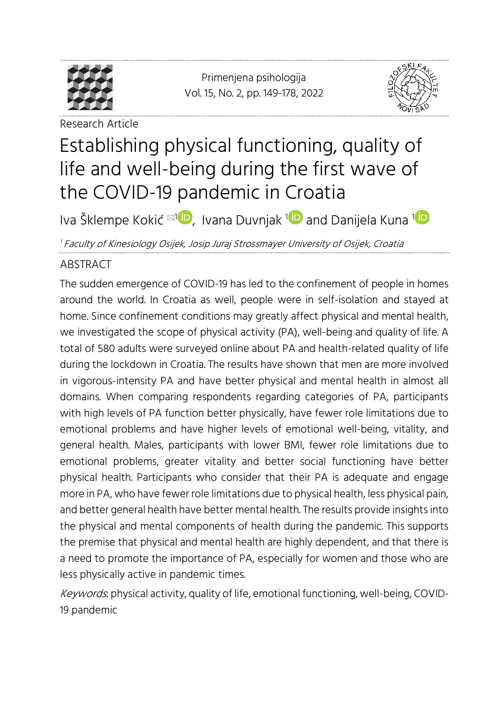

Research Article

<span id="page-0-0"></span>Primenjena psihologija Vol. 15, No. 2, pp. [149-](#page-0-0)[178,](#page-29-0) 2022



## Establishing physical functioning, quality of life and well-being during the first wave of the COVID-19 pandemic in Croatia

Iva Šklempe Kokić [1](https://orcid.org/0000-0002-6558-3900) , Ivana Duvnjak <sup>1</sup> and Danijela Kuna <sup>1</sup>

<sup>1</sup> Faculty of Kinesiology Osijek, Josip Juraj Strossmayer University of Osijek, Croatia

### ABSTRACT

The sudden emergence of COVID-19 has led to the confinement of people in homes around the world. In Croatia as well, people were in self-isolation and stayed at home. Since confinement conditions may greatly affect physical and mental health, we investigated the scope of physical activity (PA), well-being and quality of life. A total of 580 adults were surveyed online about PA and health-related quality of life during the lockdown in Croatia. The results have shown that men are more involved in vigorous-intensity PA and have better physical and mental health in almost all domains. When comparing respondents regarding categories of PA, participants with high levels of PA function better physically, have fewer role limitations due to emotional problems and have higher levels of emotional well-being, vitality, and general health. Males, participants with lower BMI, fewer role limitations due to emotional problems, greater vitality and better social functioning have better physical health. Participants who consider that their PA is adequate and engage more in PA, who have fewer role limitations due to physical health, less physical pain, and better general health have better mental health. The results provide insights into the physical and mental components of health during the pandemic. This supports the premise that physical and mental health are highly dependent, and that there is a need to promote the importance of PA, especially for women and those who are less physically active in pandemic times.

Keywords: physical activity, quality of life, emotional functioning, well-being, COVID-19 pandemic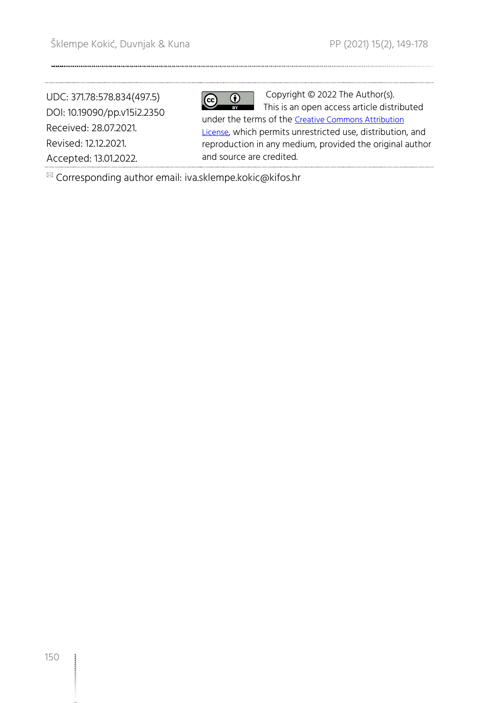UDC: 371.78:578.834(497.5) DOI: 10.19090/pp.v15i2.2350 Received: 28.07.2021. Revised: 12.12.2021. Accepted: 13.01.2022.

 $\overline{\mathbf{\Theta}}$  $\boxed{\textcircled{\scriptsize{c}}}$ 

Copyright © 2022 The Author(s). This is an open access article distributed under the terms of the [Creative Commons Attribution](https://creativecommons.org/licenses/by/4.0/)  [License](https://creativecommons.org/licenses/by/4.0/), which permits unrestricted use, distribution, and reproduction in any medium, provided the original author and source are credited.

 $\mathbb{Z}$  Corresponding author email: iva.sklempe.kokic@kifos.hr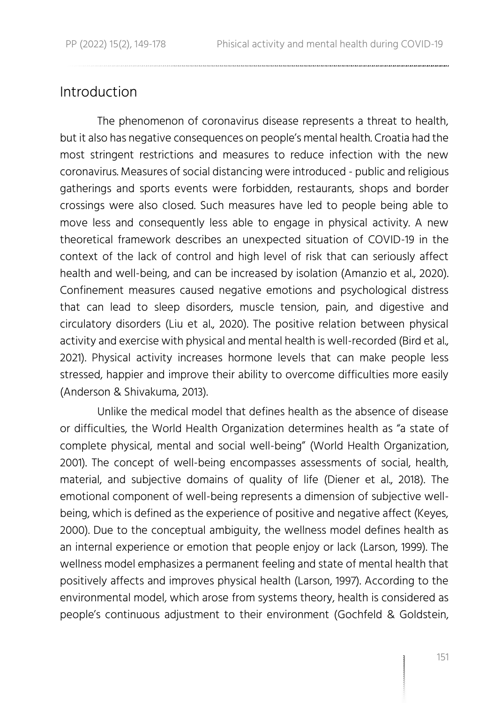### Introduction

The phenomenon of coronavirus disease represents a threat to health, but it also has negative consequences on people's mental health. Croatia had the most stringent restrictions and measures to reduce infection with the new coronavirus. Measures of social distancing were introduced - public and religious gatherings and sports events were forbidden, restaurants, shops and border crossings were also closed. Such measures have led to people being able to move less and consequently less able to engage in physical activity. A new theoretical framework describes an unexpected situation of COVID-19 in the context of the lack of control and high level of risk that can seriously affect health and well-being, and can be increased by isolation (Amanzio et al., 2020). Confinement measures caused negative emotions and psychological distress that can lead to sleep disorders, muscle tension, pain, and digestive and circulatory disorders (Liu et al., 2020). The positive relation between physical activity and exercise with physical and mental health is well-recorded (Bird et al., 2021). Physical activity increases hormone levels that can make people less stressed, happier and improve their ability to overcome difficulties more easily (Anderson & Shivakuma, 2013).

Unlike the medical model that defines health as the absence of disease or difficulties, the World Health Organization determines health as "a state of complete physical, mental and social well-being" (World Health Organization, 2001). The concept of well-being encompasses assessments of social, health, material, and subjective domains of quality of life (Diener et al., 2018). The emotional component of well-being represents a dimension of subjective wellbeing, which is defined as the experience of positive and negative affect (Keyes, 2000). Due to the conceptual ambiguity, the wellness model defines health as an internal experience or emotion that people enjoy or lack (Larson, 1999). The wellness model emphasizes a permanent feeling and state of mental health that positively affects and improves physical health (Larson, 1997). According to the environmental model, which arose from systems theory, health is considered as people's continuous adjustment to their environment (Gochfeld & Goldstein,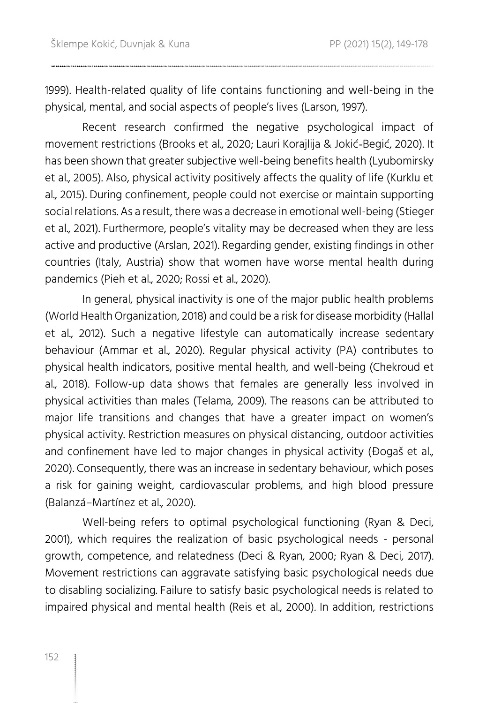1999). Health-related quality of life contains functioning and well-being in the physical, mental, and social aspects of people's lives (Larson, 1997).

Recent research confirmed the negative psychological impact of movement restrictions (Brooks et al., 2020; Lauri Korajlija & Jokić‐Begić, 2020). It has been shown that greater subjective well-being benefits health (Lyubomirsky et al., 2005). Also, physical activity positively affects the quality of life (Kurklu et al., 2015). During confinement, people could not exercise or maintain supporting social relations. As a result, there was a decrease in emotional well-being (Stieger et al., 2021). Furthermore, people's vitality may be decreased when they are less active and productive (Arslan, 2021). Regarding gender, existing findings in other countries (Italy, Austria) show that women have worse mental health during pandemics (Pieh et al., 2020; Rossi et al., 2020).

In general, physical inactivity is one of the major public health problems (World Health Organization, 2018) and could be a risk for disease morbidity (Hallal et al., 2012). Such a negative lifestyle can automatically increase sedentary behaviour (Ammar et al., 2020). Regular physical activity (PA) contributes to physical health indicators, positive mental health, and well-being (Chekroud et al., 2018). Follow-up data shows that females are generally less involved in physical activities than males (Telama, 2009). The reasons can be attributed to major life transitions and changes that have a greater impact on women's physical activity. Restriction measures on physical distancing, outdoor activities and confinement have led to major changes in physical activity (Đogaš et al., 2020). Consequently, there was an increase in sedentary behaviour, which poses a risk for gaining weight, cardiovascular problems, and high blood pressure (Balanzá–Martínez et al., 2020).

Well-being refers to optimal psychological functioning (Ryan & Deci, 2001), which requires the realization of basic psychological needs - personal growth, competence, and relatedness (Deci & Ryan, 2000; Ryan & Deci, 2017). Movement restrictions can aggravate satisfying basic psychological needs due to disabling socializing. Failure to satisfy basic psychological needs is related to impaired physical and mental health (Reis et al., 2000). In addition, restrictions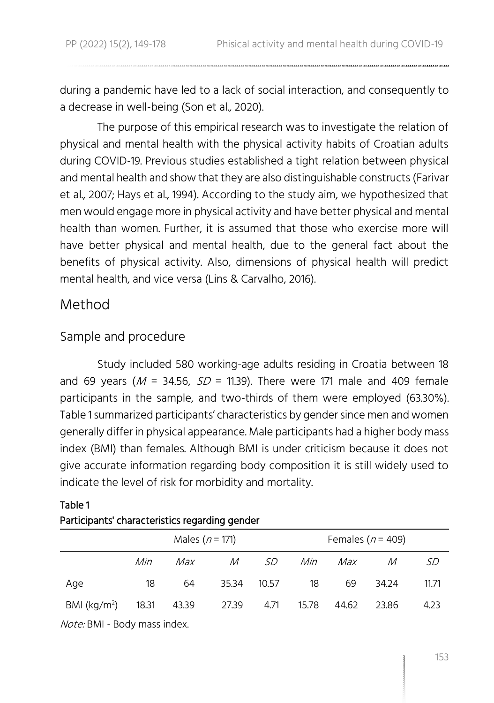during a pandemic have led to a lack of social interaction, and consequently to a decrease in well-being (Son et al., 2020).

The purpose of this empirical research was to investigate the relation of physical and mental health with the physical activity habits of Croatian adults during COVID-19. Previous studies established a tight relation between physical and mental health and show that they are also distinguishable constructs (Farivar et al., 2007; Hays et al., 1994). According to the study aim, we hypothesized that men would engage more in physical activity and have better physical and mental health than women. Further, it is assumed that those who exercise more will have better physical and mental health, due to the general fact about the benefits of physical activity. Also, dimensions of physical health will predict mental health, and vice versa (Lins & Carvalho, 2016).

### Method

### Sample and procedure

Study included 580 working-age adults residing in Croatia between 18 and 69 years ( $M = 34.56$ ,  $SD = 11.39$ ). There were 171 male and 409 female participants in the sample, and two-thirds of them were employed (63.30%). Table 1 summarized participants' characteristics by gender since men and women generally differ in physical appearance. Male participants had a higher body mass index (BMI) than females. Although BMI is under criticism because it does not give accurate information regarding body composition it is still widely used to indicate the level of risk for morbidity and mortality.

|                               |     | Males ( $n = 171$ ) |              |           |       |       | Females ( $n = 409$ ) |       |
|-------------------------------|-----|---------------------|--------------|-----------|-------|-------|-----------------------|-------|
|                               | Min | Max                 | $\mathcal M$ | <i>SD</i> | Min   | Max   | M                     | SD    |
| Age                           | 18  | 64                  | 35.34        | 10.57     | 18    | 69    | 34.24                 | 11.71 |
| BMI ( $\text{kg/m}^2$ ) 18.31 |     | 43.39               | 27.39        | 4.71      | 15.78 | 44.62 | 23.86                 | 4.23  |

### Table 1 Participants' characteristics regarding gender

Note: BMI - Body mass index.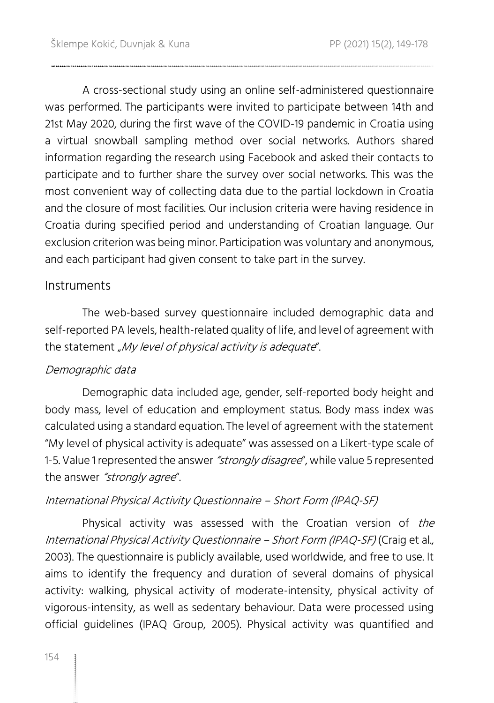A cross-sectional study using an online self-administered questionnaire was performed. The participants were invited to participate between 14th and 21st May 2020, during the first wave of the COVID-19 pandemic in Croatia using a virtual snowball sampling method over social networks. Authors shared information regarding the research using Facebook and asked their contacts to participate and to further share the survey over social networks. This was the most convenient way of collecting data due to the partial lockdown in Croatia and the closure of most facilities. Our inclusion criteria were having residence in Croatia during specified period and understanding of Croatian language. Our exclusion criterion was being minor. Participation was voluntary and anonymous, and each participant had given consent to take part in the survey.

### Instruments

The web-based survey questionnaire included demographic data and self-reported PA levels, health-related quality of life, and level of agreement with the statement "My level of physical activity is adequate".

### Demographic data

Demographic data included age, gender, self-reported body height and body mass, level of education and employment status. Body mass index was calculated using a standard equation. The level of agreement with the statement "My level of physical activity is adequate" was assessed on a Likert-type scale of 1-5. Value 1 represented the answer "strongly disagree", while value 5 represented the answer "strongly agree".

### International Physical Activity Questionnaire – Short Form (IPAQ-SF)

Physical activity was assessed with the Croatian version of the International Physical Activity Questionnaire – Short Form (IPAQ-SF) (Craig et al., 2003). The questionnaire is publicly available, used worldwide, and free to use. It aims to identify the frequency and duration of several domains of physical activity: walking, physical activity of moderate-intensity, physical activity of vigorous-intensity, as well as sedentary behaviour. Data were processed using official guidelines (IPAQ Group, 2005). Physical activity was quantified and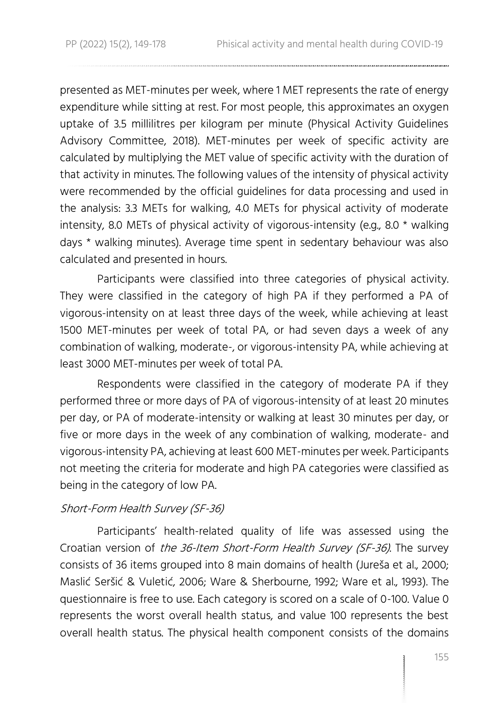presented as MET-minutes per week, where 1 MET represents the rate of energy expenditure while sitting at rest. For most people, this approximates an oxygen uptake of 3.5 millilitres per kilogram per minute (Physical Activity Guidelines Advisory Committee, 2018). MET-minutes per week of specific activity are calculated by multiplying the MET value of specific activity with the duration of that activity in minutes. The following values of the intensity of physical activity were recommended by the official guidelines for data processing and used in the analysis: 3.3 METs for walking, 4.0 METs for physical activity of moderate intensity, 8.0 METs of physical activity of vigorous-intensity (e.g., 8.0 \* walking days \* walking minutes). Average time spent in sedentary behaviour was also calculated and presented in hours.

Participants were classified into three categories of physical activity. They were classified in the category of high PA if they performed a PA of vigorous-intensity on at least three days of the week, while achieving at least 1500 MET-minutes per week of total PA, or had seven days a week of any combination of walking, moderate-, or vigorous-intensity PA, while achieving at least 3000 MET-minutes per week of total PA.

Respondents were classified in the category of moderate PA if they performed three or more days of PA of vigorous-intensity of at least 20 minutes per day, or PA of moderate-intensity or walking at least 30 minutes per day, or five or more days in the week of any combination of walking, moderate- and vigorous-intensity PA, achieving at least 600 MET-minutes per week. Participants not meeting the criteria for moderate and high PA categories were classified as being in the category of low PA.

### Short-Form Health Survey (SF-36)

Participants' health-related quality of life was assessed using the Croatian version of the 36-Item Short-Form Health Survey (SF-36). The survey consists of 36 items grouped into 8 main domains of health (Jureša et al., 2000; Maslić Seršić & Vuletić, 2006; Ware & Sherbourne, 1992; Ware et al., 1993). The questionnaire is free to use. Each category is scored on a scale of 0-100. Value 0 represents the worst overall health status, and value 100 represents the best overall health status. The physical health component consists of the domains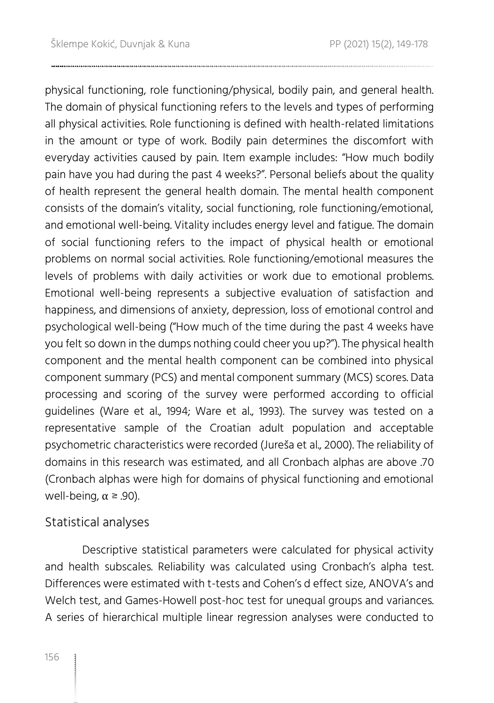physical functioning, role functioning/physical, bodily pain, and general health. The domain of physical functioning refers to the levels and types of performing all physical activities. Role functioning is defined with health-related limitations in the amount or type of work. Bodily pain determines the discomfort with everyday activities caused by pain. Item example includes: "How much bodily pain have you had during the past 4 weeks?". Personal beliefs about the quality of health represent the general health domain. The mental health component consists of the domain's vitality, social functioning, role functioning/emotional, and emotional well-being. Vitality includes energy level and fatigue. The domain of social functioning refers to the impact of physical health or emotional problems on normal social activities. Role functioning/emotional measures the levels of problems with daily activities or work due to emotional problems. Emotional well-being represents a subjective evaluation of satisfaction and happiness, and dimensions of anxiety, depression, loss of emotional control and psychological well-being ("How much of the time during the past 4 weeks have you felt so down in the dumps nothing could cheer you up?"). The physical health component and the mental health component can be combined into physical component summary (PCS) and mental component summary (MCS) scores. Data processing and scoring of the survey were performed according to official guidelines (Ware et al., 1994; Ware et al., 1993). The survey was tested on a representative sample of the Croatian adult population and acceptable psychometric characteristics were recorded (Jureša et al., 2000). The reliability of domains in this research was estimated, and all Cronbach alphas are above .70 (Cronbach alphas were high for domains of physical functioning and emotional well-being,  $\alpha$  ≥ .90).

### Statistical analyses

Descriptive statistical parameters were calculated for physical activity and health subscales. Reliability was calculated using Cronbach's alpha test. Differences were estimated with t-tests and Cohen's d effect size, ANOVA's and Welch test, and Games-Howell post-hoc test for unequal groups and variances. A series of hierarchical multiple linear regression analyses were conducted to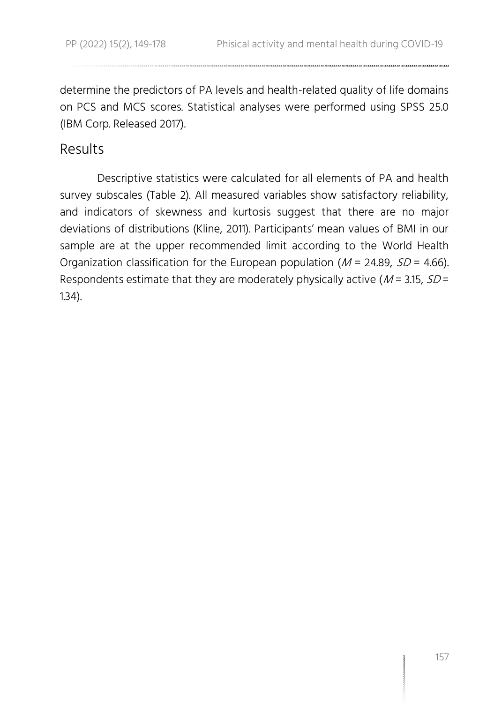determine the predictors of PA levels and health-related quality of life domains on PCS and MCS scores. Statistical analyses were performed using SPSS 25.0 (IBM Corp. Released 2017).

### Results

Descriptive statistics were calculated for all elements of PA and health survey subscales (Table 2). All measured variables show satisfactory reliability, and indicators of skewness and kurtosis suggest that there are no major deviations of distributions (Kline, 2011). Participants' mean values of BMI in our sample are at the upper recommended limit according to the World Health Organization classification for the European population ( $M = 24.89$ ,  $SD = 4.66$ ). Respondents estimate that they are moderately physically active ( $M = 3.15$ ,  $SD =$ 1.34).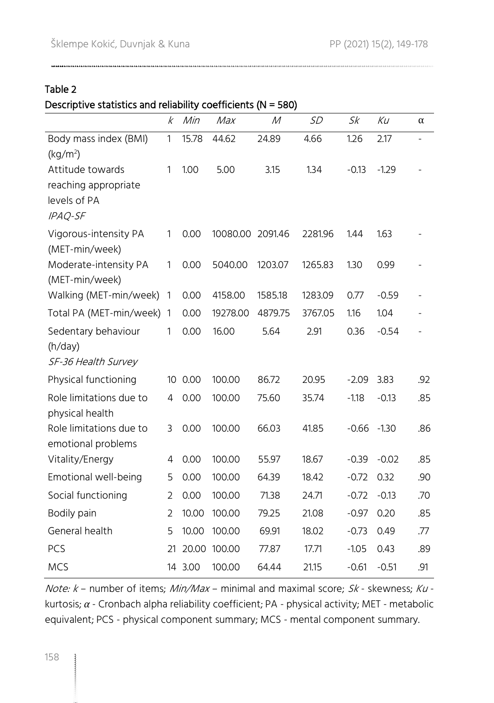Table 2

### Descriptive statistics and reliability coefficients (N = 580)

|                                      | k              | Min     | Max      | М       | <b>SD</b> | Sk      | Кu      | α                        |
|--------------------------------------|----------------|---------|----------|---------|-----------|---------|---------|--------------------------|
| Body mass index (BMI)                | $\mathbf{1}$   | 15.78   | 44.62    | 24.89   | 4.66      | 1.26    | 2.17    | $\overline{\phantom{a}}$ |
| (kq/m <sup>2</sup> )                 |                |         |          |         |           |         |         |                          |
| Attitude towards                     | 1              | 1.00    | 5.00     | 3.15    | 1.34      | $-0.13$ | $-1.29$ |                          |
| reaching appropriate<br>levels of PA |                |         |          |         |           |         |         |                          |
| IPAQ-SF                              |                |         |          |         |           |         |         |                          |
| Vigorous-intensity PA                | 1              | 0.00    | 10080.00 | 2091.46 | 2281.96   | 1.44    | 1.63    |                          |
| (MET-min/week)                       |                |         |          |         |           |         |         |                          |
| Moderate-intensity PA                | 1              | 0.00    | 5040.00  | 1203.07 | 1265.83   | 1.30    | 0.99    |                          |
| (MET-min/week)                       |                |         |          |         |           |         |         |                          |
| Walking (MET-min/week)               | 1              | 0.00    | 4158.00  | 1585.18 | 1283.09   | 0.77    | $-0.59$ |                          |
| Total PA (MET-min/week)              | $\mathbf{1}$   | 0.00    | 19278.00 | 4879.75 | 3767.05   | 1.16    | 1.04    |                          |
| Sedentary behaviour                  | 1              | 0.00    | 16.00    | 5.64    | 2.91      | 0.36    | $-0.54$ |                          |
| (h/day)                              |                |         |          |         |           |         |         |                          |
| SF-36 Health Survey                  |                |         |          |         |           |         |         |                          |
| Physical functioning                 | 10             | 0.00    | 100.00   | 86.72   | 20.95     | $-2.09$ | 3.83    | .92                      |
| Role limitations due to              | 4              | 0.00    | 100.00   | 75.60   | 35.74     | $-1.18$ | $-0.13$ | .85                      |
| physical health                      |                |         |          |         |           |         |         |                          |
| Role limitations due to              | 3              | 0.00    | 100.00   | 66.03   | 41.85     | $-0.66$ | $-1.30$ | .86                      |
| emotional problems                   |                |         |          |         |           |         |         |                          |
| Vitality/Energy                      | 4              | 0.00    | 100.00   | 55.97   | 18.67     | $-0.39$ | $-0.02$ | .85                      |
| Emotional well-being                 | 5              | 0.00    | 100.00   | 64.39   | 18.42     | $-0.72$ | 0.32    | .90                      |
| Social functioning                   | $\overline{2}$ | 0.00    | 100.00   | 71.38   | 24.71     | $-0.72$ | $-0.13$ | .70                      |
| Bodily pain                          | 2              | 10.00   | 100.00   | 79.25   | 21.08     | $-0.97$ | 0.20    | .85                      |
| General health                       | 5              | 10.00   | 100.00   | 69.91   | 18.02     | $-0.73$ | 0.49    | .77                      |
| PCS                                  | 21             | 20.00   | 100.00   | 77.87   | 17.71     | $-1.05$ | 0.43    | .89                      |
| <b>MCS</b>                           |                | 14 3.00 | 100.00   | 64.44   | 21.15     | $-0.61$ | $-0.51$ | .91                      |

Note:  $k$  – number of items; Min/Max – minimal and maximal score;  $Sk$  - skewness;  $Ku$  kurtosis; *α* - Cronbach alpha reliability coefficient; PA - physical activity; MET - metabolic equivalent; PCS - physical component summary; MCS - mental component summary.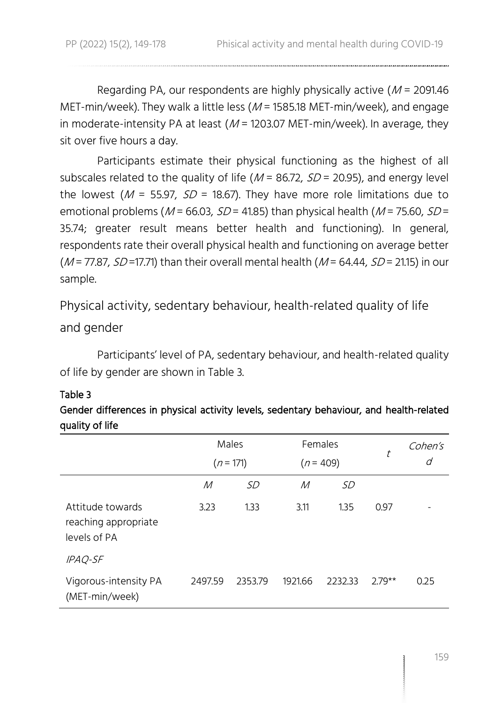Regarding PA, our respondents are highly physically active  $(M = 2091.46$ MET-min/week). They walk a little less ( $M$  = 1585.18 MET-min/week), and engage in moderate-intensity PA at least  $(M = 1203.07 \text{ MET-min/week})$ . In average, they sit over five hours a day.

Participants estimate their physical functioning as the highest of all subscales related to the quality of life ( $M = 86.72$ ,  $SD = 20.95$ ), and energy level the lowest ( $M = 55.97$ ,  $SD = 18.67$ ). They have more role limitations due to emotional problems ( $M$  = 66.03,  $SD$  = 41.85) than physical health ( $M$  = 75.60,  $SD$  = 35.74; greater result means better health and functioning). In general, respondents rate their overall physical health and functioning on average better ( $M$  = 77.87,  $SD$  = 17.71) than their overall mental health ( $M$  = 64.44,  $SD$  = 21.15) in our sample.

Physical activity, sedentary behaviour, health-related quality of life and gender

Participants' level of PA, sedentary behaviour, and health-related quality of life by gender are shown in Table 3.

### Table 3

### Gender differences in physical activity levels, sedentary behaviour, and health-related quality of life

|                                                          |         | Males       |         | Females     | t        | Cohen's |
|----------------------------------------------------------|---------|-------------|---------|-------------|----------|---------|
|                                                          |         | $(n = 171)$ |         | $(n = 409)$ |          | d       |
|                                                          | М       | SD          | М       | <i>SD</i>   |          |         |
| Attitude towards<br>reaching appropriate<br>levels of PA | 3.23    | 1.33        | 3.11    | 1.35        | 0.97     |         |
| IPAQ-SF                                                  |         |             |         |             |          |         |
| Vigorous-intensity PA<br>(MET-min/week)                  | 2497.59 | 2353.79     | 1921.66 | 2232.33     | $2.79**$ | 0.25    |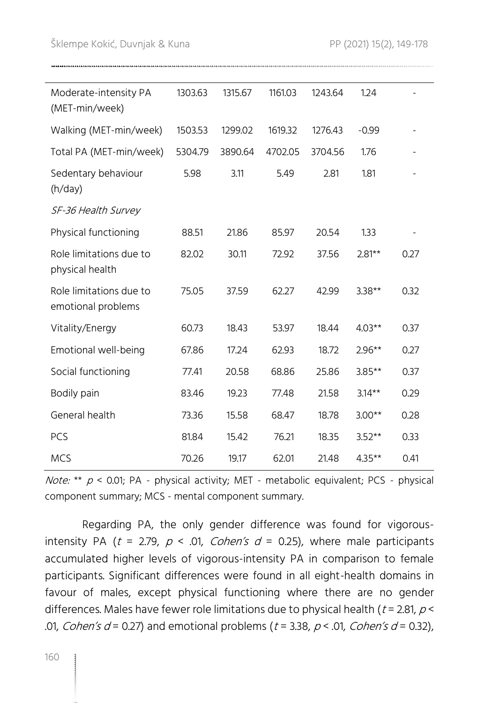*Note:* \*\*  $p$  < 0.01; PA - physical activity; MET - metabolic equivalent; PCS - physical component summary; MCS - mental component summary.

Regarding PA, the only gender difference was found for vigorousintensity PA ( $t = 2.79$ ,  $p < .01$ , Cohen's  $d = 0.25$ ), where male participants accumulated higher levels of vigorous-intensity PA in comparison to female participants. Significant differences were found in all eight-health domains in favour of males, except physical functioning where there are no gender differences. Males have fewer role limitations due to physical health ( $t = 2.81$ ,  $p <$ .01, Cohen's  $d = 0.27$ ) and emotional problems ( $t = 3.38$ ,  $p < .01$ , Cohen's  $d = 0.32$ ),

| Moderate-intensity PA<br>(MET-min/week)       | 1303.63 | 1315.67 | 1161.03 | 1243.64 | 1.24      |      |
|-----------------------------------------------|---------|---------|---------|---------|-----------|------|
| Walking (MET-min/week)                        | 1503.53 | 1299.02 | 1619.32 | 1276.43 | $-0.99$   |      |
| Total PA (MET-min/week)                       | 5304.79 | 3890.64 | 4702.05 | 3704.56 | 1.76      |      |
| Sedentary behaviour<br>(h/day)                | 5.98    | 3.11    | 5.49    | 2.81    | 1.81      |      |
| SF-36 Health Survey                           |         |         |         |         |           |      |
| Physical functioning                          | 88.51   | 21.86   | 85.97   | 20.54   | 1.33      |      |
| Role limitations due to<br>physical health    | 82.02   | 30.11   | 72.92   | 37.56   | $2.81***$ | 0.27 |
| Role limitations due to<br>emotional problems | 75.05   | 37.59   | 62.27   | 42.99   | $3.38**$  | 0.32 |
| Vitality/Energy                               | 60.73   | 18.43   | 53.97   | 18.44   | $4.03**$  | 0.37 |
| Emotional well-being                          | 67.86   | 17.24   | 62.93   | 18.72   | $2.96**$  | 0.27 |
| Social functioning                            | 77.41   | 20.58   | 68.86   | 25.86   | $3.85**$  | 0.37 |
| Bodily pain                                   | 83.46   | 19.23   | 77.48   | 21.58   | $3.14***$ | 0.29 |
| General health                                | 73.36   | 15.58   | 68.47   | 18.78   | $3.00**$  | 0.28 |
| PCS                                           | 81.84   | 15.42   | 76.21   | 18.35   | $3.52**$  | 0.33 |
| <b>MCS</b>                                    | 70.26   | 19.17   | 62.01   | 21.48   | $4.35***$ | 0.41 |
|                                               |         |         |         |         |           |      |

Šklempe Kokić, Duvnjak & Kuna PP (2021) 15(2), [149-](#page-0-0)[178](#page-29-0)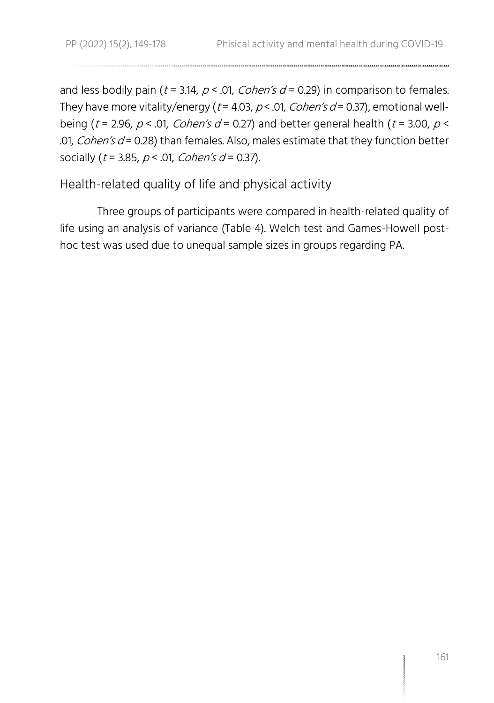and less bodily pain ( $t = 3.14$ ,  $p < .01$ , Cohen's  $d = 0.29$ ) in comparison to females. They have more vitality/energy ( $t = 4.03$ ,  $p < .01$ , Cohen's  $d = 0.37$ ), emotional wellbeing (t = 2.96,  $p < 0.01$ , Cohen's d = 0.27) and better general health (t = 3.00,  $p <$ .01, *Cohen's d* = 0.28) than females. Also, males estimate that they function better socially ( $t = 3.85$ ,  $p < .01$ , Cohen's  $d = 0.37$ ).

Health-related quality of life and physical activity

Three groups of participants were compared in health-related quality of life using an analysis of variance (Table 4). Welch test and Games-Howell posthoc test was used due to unequal sample sizes in groups regarding PA.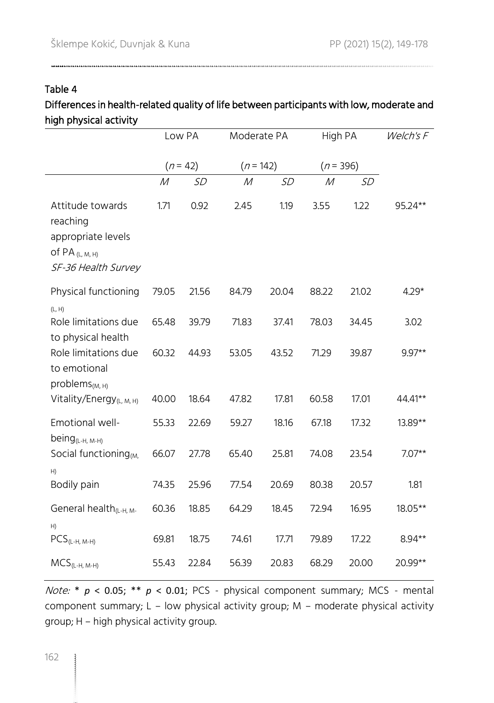Table 4

### Differences in health-related quality of life between participants with low, moderate and high physical activity

|                                                                                                | Low PA |            | Moderate PA  |       | High PA      |       | Welch's F |
|------------------------------------------------------------------------------------------------|--------|------------|--------------|-------|--------------|-------|-----------|
|                                                                                                |        | $(n = 42)$ | $(n = 142)$  |       | $(n = 396)$  |       |           |
|                                                                                                | М      | SD         | $\mathcal M$ | SD    | $\mathcal M$ | SD    |           |
| Attitude towards<br>reaching<br>appropriate levels<br>of PA $(L, M, H)$<br>SF-36 Health Survey | 1.71   | 0.92       | 2.45         | 1.19  | 3.55         | 1.22  | 95.24**   |
| Physical functioning<br>(L, H)                                                                 | 79.05  | 21.56      | 84.79        | 20.04 | 88.22        | 21.02 | $4.29*$   |
| Role limitations due<br>to physical health                                                     | 65.48  | 39.79      | 71.83        | 37.41 | 78.03        | 34.45 | 3.02      |
| Role limitations due<br>to emotional<br>problems <sub>(M, H)</sub>                             | 60.32  | 44.93      | 53.05        | 43.52 | 71.29        | 39.87 | $9.97**$  |
| Vitality/Energy <sub>(L, M, H)</sub>                                                           | 40.00  | 18.64      | 47.82        | 17.81 | 60.58        | 17.01 | 44.41**   |
| Emotional well-<br>being <sub>(L-H, M-H)</sub>                                                 | 55.33  | 22.69      | 59.27        | 18.16 | 67.18        | 17.32 | 13.89**   |
| Social functioning <sub>(M,</sub><br>H)                                                        | 66.07  | 27.78      | 65.40        | 25.81 | 74.08        | 23.54 | $7.07**$  |
| Bodily pain                                                                                    | 74.35  | 25.96      | 77.54        | 20.69 | 80.38        | 20.57 | 1.81      |
| General health <sub>(L-H, M-</sub><br>H)                                                       | 60.36  | 18.85      | 64.29        | 18.45 | 72.94        | 16.95 | 18.05**   |
| $PCS_{(L-H, M-H)}$                                                                             | 69.81  | 18.75      | 74.61        | 17.71 | 79.89        | 17.22 | 8.94**    |
| $MCS_{(L-H, M-H)}$                                                                             | 55.43  | 22.84      | 56.39        | 20.83 | 68.29        | 20.00 | 20.99**   |

Note: \* *p* < 0.05; \*\* *p* < 0.01; PCS - physical component summary; MCS - mental component summary; L – low physical activity group; M – moderate physical activity group; H – high physical activity group.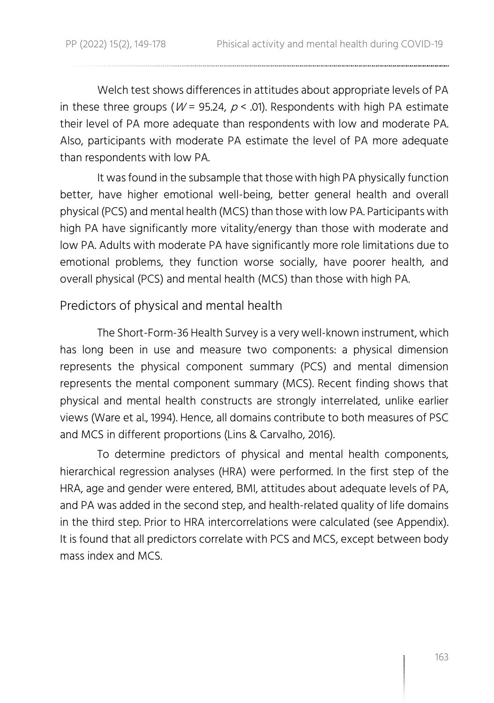Welch test shows differences in attitudes about appropriate levels of PA in these three groups ( $W = 95.24$ ,  $p < .01$ ). Respondents with high PA estimate their level of PA more adequate than respondents with low and moderate PA. Also, participants with moderate PA estimate the level of PA more adequate than respondents with low PA.

It was found in the subsample that those with high PA physically function better, have higher emotional well-being, better general health and overall physical (PCS) and mental health (MCS) than those with low PA. Participants with high PA have significantly more vitality/energy than those with moderate and low PA. Adults with moderate PA have significantly more role limitations due to emotional problems, they function worse socially, have poorer health, and overall physical (PCS) and mental health (MCS) than those with high PA.

### Predictors of physical and mental health

The Short-Form-36 Health Survey is a very well-known instrument, which has long been in use and measure two components: a physical dimension represents the physical component summary (PCS) and mental dimension represents the mental component summary (MCS). Recent finding shows that physical and mental health constructs are strongly interrelated, unlike earlier views (Ware et al., 1994). Hence, all domains contribute to both measures of PSC and MCS in different proportions (Lins & Carvalho, 2016).

To determine predictors of physical and mental health components, hierarchical regression analyses (HRA) were performed. In the first step of the HRA, age and gender were entered, BMI, attitudes about adequate levels of PA, and PA was added in the second step, and health-related quality of life domains in the third step. Prior to HRA intercorrelations were calculated (see Appendix). It is found that all predictors correlate with PCS and MCS, except between body mass index and MCS.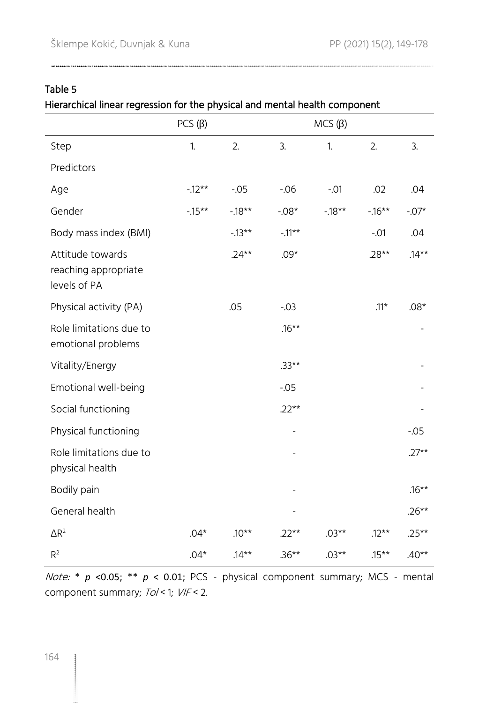### Table 5

Hierarchical linear regression for the physical and mental health component

|                                                          | $PCS(\beta)$ |          |           | $MCS(\beta)$ |          |          |
|----------------------------------------------------------|--------------|----------|-----------|--------------|----------|----------|
| Step                                                     | 1.           | 2.       | 3.        | 1.           | 2.       | 3.       |
| Predictors                                               |              |          |           |              |          |          |
| Age                                                      | $-12**$      | $-0.05$  | $-0.06$   | $-.01$       | .02      | .04      |
| Gender                                                   | $-15**$      | $-18**$  | $-0.08*$  | $-18**$      | $-16**$  | $-.07*$  |
| Body mass index (BMI)                                    |              | $-13**$  | $-.11***$ |              | $-.01$   | .04      |
| Attitude towards<br>reaching appropriate<br>levels of PA |              | $.24**$  | $.09*$    |              | $.28**$  | $.14***$ |
| Physical activity (PA)                                   |              | .05      | $-0.03$   |              | $.11*$   | $.08*$   |
| Role limitations due to<br>emotional problems            |              |          | $.16***$  |              |          |          |
| Vitality/Energy                                          |              |          | $.33**$   |              |          |          |
| Emotional well-being                                     |              |          | $-0.05$   |              |          |          |
| Social functioning                                       |              |          | $.22**$   |              |          |          |
| Physical functioning                                     |              |          |           |              |          | $-0.05$  |
| Role limitations due to<br>physical health               |              |          |           |              |          | $.27**$  |
| Bodily pain                                              |              |          |           |              |          | $.16***$ |
| General health                                           |              |          |           |              |          | $.26**$  |
| $\Delta \mathsf{R}^2$                                    | $.04*$       | $.10**$  | $.22**$   | $.03**$      | $.12***$ | $.25**$  |
| R <sup>2</sup>                                           | $.04*$       | $.14***$ | $.36**$   | $.03**$      | $.15***$ | $.40**$  |

Note: \* *p* <0.05; \*\* *p* < 0.01; PCS - physical component summary; MCS - mental component summary; Tol < 1; VIF < 2.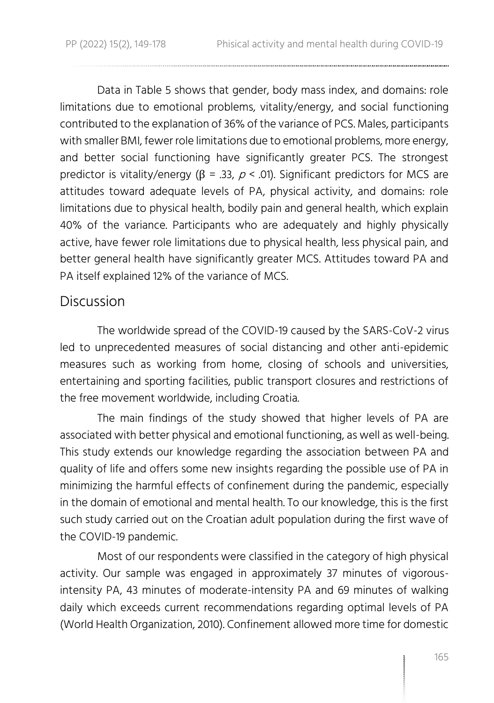Data in Table 5 shows that gender, body mass index, and domains: role limitations due to emotional problems, vitality/energy, and social functioning contributed to the explanation of 36% of the variance of PCS. Males, participants with smaller BMI, fewer role limitations due to emotional problems, more energy, and better social functioning have significantly greater PCS. The strongest predictor is vitality/energy ( $\beta$  = .33,  $\rho$  < .01). Significant predictors for MCS are attitudes toward adequate levels of PA, physical activity, and domains: role limitations due to physical health, bodily pain and general health, which explain 40% of the variance. Participants who are adequately and highly physically active, have fewer role limitations due to physical health, less physical pain, and better general health have significantly greater MCS. Attitudes toward PA and PA itself explained 12% of the variance of MCS.

### **Discussion**

The worldwide spread of the COVID-19 caused by the SARS-CoV-2 virus led to unprecedented measures of social distancing and other anti-epidemic measures such as working from home, closing of schools and universities, entertaining and sporting facilities, public transport closures and restrictions of the free movement worldwide, including Croatia.

The main findings of the study showed that higher levels of PA are associated with better physical and emotional functioning, as well as well-being. This study extends our knowledge regarding the association between PA and quality of life and offers some new insights regarding the possible use of PA in minimizing the harmful effects of confinement during the pandemic, especially in the domain of emotional and mental health. To our knowledge, this is the first such study carried out on the Croatian adult population during the first wave of the COVID-19 pandemic.

Most of our respondents were classified in the category of high physical activity. Our sample was engaged in approximately 37 minutes of vigorousintensity PA, 43 minutes of moderate-intensity PA and 69 minutes of walking daily which exceeds current recommendations regarding optimal levels of PA (World Health Organization, 2010). Confinement allowed more time for domestic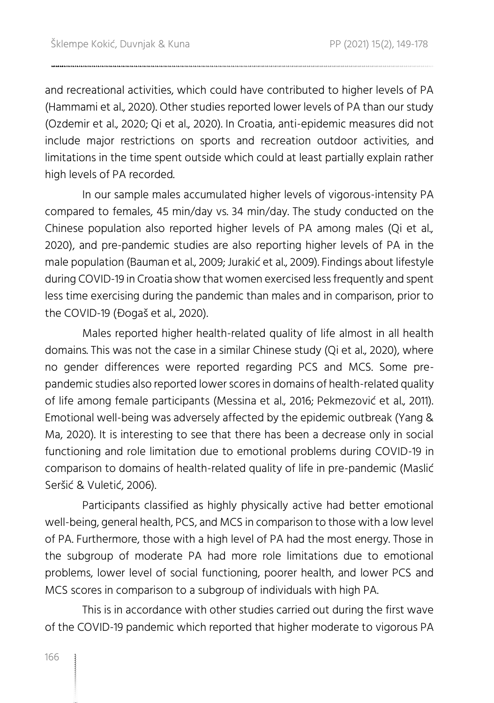and recreational activities, which could have contributed to higher levels of PA (Hammami et al., 2020). Other studies reported lower levels of PA than our study (Ozdemir et al., 2020; Qi et al., 2020). In Croatia, anti-epidemic measures did not include major restrictions on sports and recreation outdoor activities, and limitations in the time spent outside which could at least partially explain rather high levels of PA recorded.

In our sample males accumulated higher levels of vigorous-intensity PA compared to females, 45 min/day vs. 34 min/day. The study conducted on the Chinese population also reported higher levels of PA among males (Qi et al., 2020), and pre-pandemic studies are also reporting higher levels of PA in the male population (Bauman et al., 2009; Jurakić et al., 2009). Findings about lifestyle during COVID-19 in Croatia show that women exercised less frequently and spent less time exercising during the pandemic than males and in comparison, prior to the COVID-19 (Đogaš et al., 2020).

Males reported higher health-related quality of life almost in all health domains. This was not the case in a similar Chinese study (Qi et al., 2020), where no gender differences were reported regarding PCS and MCS. Some prepandemic studies also reported lower scores in domains of health-related quality of life among female participants (Messina et al., 2016; Pekmezović et al., 2011). Emotional well-being was adversely affected by the epidemic outbreak (Yang & Ma, 2020). It is interesting to see that there has been a decrease only in social functioning and role limitation due to emotional problems during COVID-19 in comparison to domains of health-related quality of life in pre-pandemic (Maslić Seršić & Vuletić, 2006).

Participants classified as highly physically active had better emotional well-being, general health, PCS, and MCS in comparison to those with a low level of PA. Furthermore, those with a high level of PA had the most energy. Those in the subgroup of moderate PA had more role limitations due to emotional problems, lower level of social functioning, poorer health, and lower PCS and MCS scores in comparison to a subgroup of individuals with high PA.

This is in accordance with other studies carried out during the first wave of the COVID-19 pandemic which reported that higher moderate to vigorous PA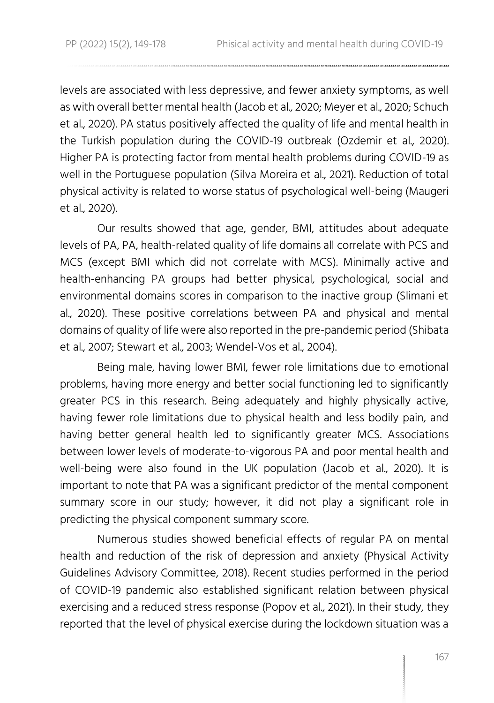levels are associated with less depressive, and fewer anxiety symptoms, as well as with overall better mental health (Jacob et al., 2020; Meyer et al., 2020; Schuch et al., 2020). PA status positively affected the quality of life and mental health in the Turkish population during the COVID-19 outbreak (Ozdemir et al., 2020). Higher PA is protecting factor from mental health problems during COVID-19 as well in the Portuguese population (Silva Moreira et al., 2021). Reduction of total physical activity is related to worse status of psychological well-being (Maugeri et al., 2020).

Our results showed that age, gender, BMI, attitudes about adequate levels of PA, PA, health-related quality of life domains all correlate with PCS and MCS (except BMI which did not correlate with MCS). Minimally active and health-enhancing PA groups had better physical, psychological, social and environmental domains scores in comparison to the inactive group (Slimani et al., 2020). These positive correlations between PA and physical and mental domains of quality of life were also reported in the pre-pandemic period (Shibata et al., 2007; Stewart et al., 2003; Wendel-Vos et al., 2004).

Being male, having lower BMI, fewer role limitations due to emotional problems, having more energy and better social functioning led to significantly greater PCS in this research. Being adequately and highly physically active, having fewer role limitations due to physical health and less bodily pain, and having better general health led to significantly greater MCS. Associations between lower levels of moderate-to-vigorous PA and poor mental health and well-being were also found in the UK population (Jacob et al., 2020). It is important to note that PA was a significant predictor of the mental component summary score in our study; however, it did not play a significant role in predicting the physical component summary score.

Numerous studies showed beneficial effects of regular PA on mental health and reduction of the risk of depression and anxiety (Physical Activity Guidelines Advisory Committee, 2018). Recent studies performed in the period of COVID-19 pandemic also established significant relation between physical exercising and a reduced stress response (Popov et al., 2021). In their study, they reported that the level of physical exercise during the lockdown situation was a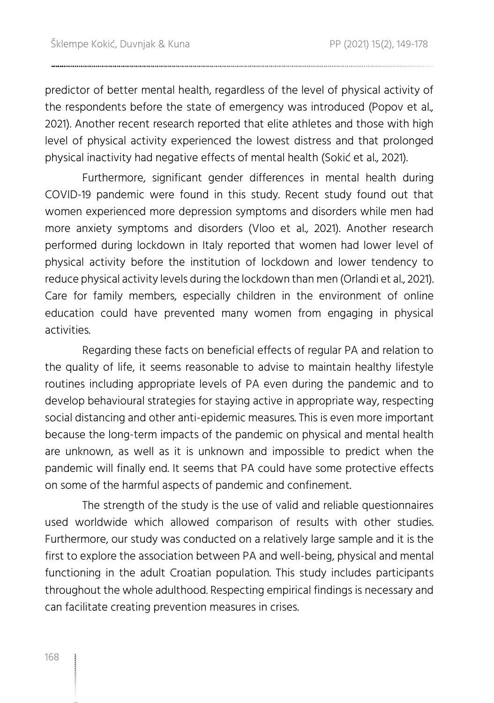predictor of better mental health, regardless of the level of physical activity of the respondents before the state of emergency was introduced (Popov et al., 2021). Another recent research reported that elite athletes and those with high level of physical activity experienced the lowest distress and that prolonged physical inactivity had negative effects of mental health (Sokić et al., 2021).

Furthermore, significant gender differences in mental health during COVID-19 pandemic were found in this study. Recent study found out that women experienced more depression symptoms and disorders while men had more anxiety symptoms and disorders (Vloo et al., 2021). Another research performed during lockdown in Italy reported that women had lower level of physical activity before the institution of lockdown and lower tendency to reduce physical activity levels during the lockdown than men (Orlandi et al., 2021). Care for family members, especially children in the environment of online education could have prevented many women from engaging in physical activities.

Regarding these facts on beneficial effects of regular PA and relation to the quality of life, it seems reasonable to advise to maintain healthy lifestyle routines including appropriate levels of PA even during the pandemic and to develop behavioural strategies for staying active in appropriate way, respecting social distancing and other anti-epidemic measures. This is even more important because the long-term impacts of the pandemic on physical and mental health are unknown, as well as it is unknown and impossible to predict when the pandemic will finally end. It seems that PA could have some protective effects on some of the harmful aspects of pandemic and confinement.

The strength of the study is the use of valid and reliable questionnaires used worldwide which allowed comparison of results with other studies. Furthermore, our study was conducted on a relatively large sample and it is the first to explore the association between PA and well-being, physical and mental functioning in the adult Croatian population. This study includes participants throughout the whole adulthood. Respecting empirical findings is necessary and can facilitate creating prevention measures in crises.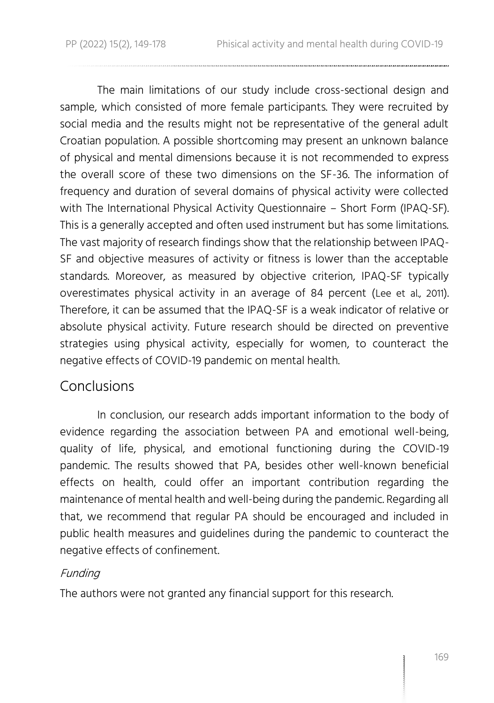The main limitations of our study include cross-sectional design and sample, which consisted of more female participants. They were recruited by social media and the results might not be representative of the general adult Croatian population. A possible shortcoming may present an unknown balance of physical and mental dimensions because it is not recommended to express the overall score of these two dimensions on the SF-36. The information of frequency and duration of several domains of physical activity were collected with The International Physical Activity Questionnaire – Short Form (IPAQ-SF). This is a generally accepted and often used instrument but has some limitations. The vast majority of research findings show that the relationship between IPAQ-SF and objective measures of activity or fitness is lower than the acceptable standards. Moreover, as measured by objective criterion, IPAQ-SF typically overestimates physical activity in an average of 84 percent (Lee et al., 2011). Therefore, it can be assumed that the IPAQ-SF is a weak indicator of relative or absolute physical activity. Future research should be directed on preventive strategies using physical activity, especially for women, to counteract the negative effects of COVID-19 pandemic on mental health.

### Conclusions

In conclusion, our research adds important information to the body of evidence regarding the association between PA and emotional well-being, quality of life, physical, and emotional functioning during the COVID-19 pandemic. The results showed that PA, besides other well-known beneficial effects on health, could offer an important contribution regarding the maintenance of mental health and well-being during the pandemic. Regarding all that, we recommend that regular PA should be encouraged and included in public health measures and guidelines during the pandemic to counteract the negative effects of confinement.

### Funding

The authors were not granted any financial support for this research.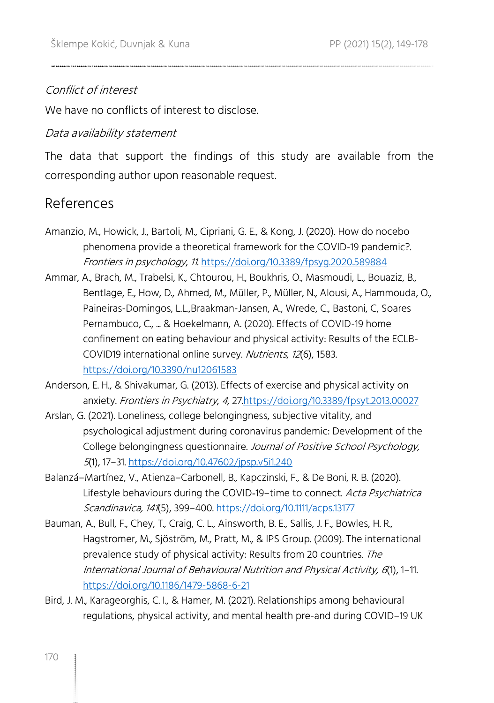### Conflict of interest

We have no conflicts of interest to disclose.

### Data availability statement

The data that support the findings of this study are available from the corresponding author upon reasonable request.

### References

- Amanzio, M., Howick, J., Bartoli, M., Cipriani, G. E., & Kong, J. (2020). How do nocebo phenomena provide a theoretical framework for the COVID-19 pandemic?. Frontiers in psychology, 11[. https://doi.org/10.3389/fpsyg.2020.589884](https://doi.org/10.3389/fpsyg.2020.589884)
- Ammar, A., Brach, M., Trabelsi, K., Chtourou, H., Boukhris, O., Masmoudi, L., Bouaziz, B., Bentlage, E., How, D., Ahmed, M., Müller, P., Müller, N., Alousi, A., Hammouda, O., Paineiras-Domingos, L.L.,Braakman-Jansen, A., Wrede, C., Bastoni, C, Soares Pernambuco, C., ... & Hoekelmann, A. (2020). Effects of COVID-19 home confinement on eating behaviour and physical activity: Results of the ECLB-COVID19 international online survey. Nutrients, 12(6), 1583. <https://doi.org/10.3390/nu12061583>

Anderson, E. H., & Shivakumar, G. (2013). Effects of exercise and physical activity on anxiety. Frontiers in Psychiatry, 4, 2[7.https://doi.org/10.3389/fpsyt.2013.00027](https://doi.org/10.3389/fpsyt.2013.00027)

- Arslan, G. (2021). Loneliness, college belongingness, subjective vitality, and psychological adjustment during coronavirus pandemic: Development of the College belongingness questionnaire. Journal of Positive School Psychology, <sup>5</sup>(1), 17–31[. https://doi.org/10.47602/jpsp.v5i1.240](https://doi.org/10.47602/jpsp.v5i1.240)
- Balanzá–Martínez, V., Atienza–Carbonell, B., Kapczinski, F., & De Boni, R. B. (2020). Lifestyle behaviours during the COVID-19-time to connect. Acta Psychiatrica Scandinavica, 141(5), 399–400.<https://doi.org/10.1111/acps.13177>
- Bauman, A., Bull, F., Chey, T., Craig, C. L., Ainsworth, B. E., Sallis, J. F., Bowles, H. R., Hagstromer, M., Sjöström, M., Pratt, M., & IPS Group. (2009). The international prevalence study of physical activity: Results from 20 countries. The International Journal of Behavioural Nutrition and Physical Activity, 6(1), 1–11. <https://doi.org/10.1186/1479-5868-6-21>
- Bird, J. M., Karageorghis, C. I., & Hamer, M. (2021). Relationships among behavioural regulations, physical activity, and mental health pre-and during COVID–19 UK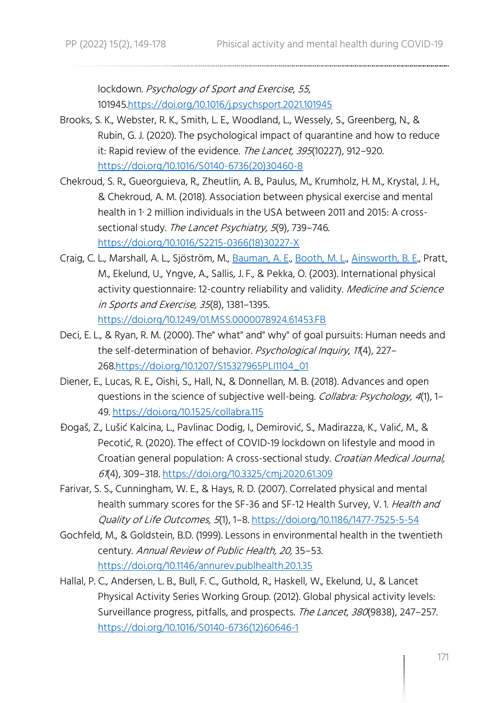lockdown. Psychology of Sport and Exercise, 55, 10194[5.https://doi.org/10.1016/j.psychsport.2021.101945](https://doi.org/10.1016/j.psychsport.2021.101945)

- Brooks, S. K., Webster, R. K., Smith, L. E., Woodland, L., Wessely, S., Greenberg, N., & Rubin, G. J. (2020). The psychological impact of quarantine and how to reduce it: Rapid review of the evidence. The Lancet, 395(10227), 912-920. [https://doi.org/10.1016/S0140-6736\(20\)30460-8](https://doi.org/10.1016/S0140-6736(20)30460-8)
- Chekroud, S. R., Gueorguieva, R., Zheutlin, A. B., Paulus, M., Krumholz, H. M., Krystal, J. H., & Chekroud, A. M. (2018). Association between physical exercise and mental health in 1· 2 million individuals in the USA between 2011 and 2015: A crosssectional study. The Lancet Psychiatry, 5(9), 739-746. [https://doi.org/10.1016/S2215-0366\(18\)30227-X](https://doi.org/10.1016/S2215-0366(18)30227-X)
- Craig, C. L., Marshall, A. L., Sjöström, M., [Bauman, A. E.,](https://www.ncbi.nlm.nih.gov/pubmed/?term=Bauman%20AE%5BAuthor%5D&cauthor=true&cauthor_uid=12900694) [Booth, M. L.,](https://www.ncbi.nlm.nih.gov/pubmed/?term=Booth%20ML%5BAuthor%5D&cauthor=true&cauthor_uid=12900694) [Ainsworth,](https://www.ncbi.nlm.nih.gov/pubmed/?term=Ainsworth%20BE%5BAuthor%5D&cauthor=true&cauthor_uid=12900694) B. E., Pratt, M., Ekelund, U., Yngve, A., Sallis, J. F., & Pekka, O. (2003). International physical activity questionnaire: 12-country reliability and validity. Medicine and Science in Sports and Exercise, 35(8), 1381–1395.

<https://doi.org/10.1249/01.MSS.0000078924.61453.FB>

- Deci, E. L., & Ryan, R. M. (2000). The" what" and" why" of goal pursuits: Human needs and the self-determination of behavior. Psychological Inquiry, 11(4), 227-26[8.https://doi.org/10.1207/S15327965PLI1104\\_01](https://doi.org/10.1207/S15327965PLI1104_01)
- Diener, E., Lucas, R. E., Oishi, S., Hall, N., & Donnellan, M. B. (2018). Advances and open questions in the science of subjective well-being. Collabra: Psychology, 4(1), 1-49.<https://doi.org/10.1525/collabra.115>
- Đogaš, Z., Lušić Kalcina, L., Pavlinac Dodig, I., Demirović, S., Madirazza, K., Valić, M., & Pecotić, R. (2020). The effect of COVID-19 lockdown on lifestyle and mood in Croatian general population: A cross-sectional study. Croatian Medical Journal, <sup>61</sup>(4), 309–318.<https://doi.org/10.3325/cmj.2020.61.309>
- Farivar, S. S., Cunningham, W. E., & Hays, R. D. (2007). Correlated physical and mental health summary scores for the SF-36 and SF-12 Health Survey, V.1. Health and Quality of Life Outcomes, 5(1), 1–8[. https://doi.org/10.1186/1477-7525-5-54](https://doi.org/10.1186/1477-7525-5-54)
- Gochfeld, M., & Goldstein, B.D. (1999). Lessons in environmental health in the twentieth century. Annual Review of Public Health, 20, 35–53. <https://doi.org/10.1146/annurev.publhealth.20.1.35>
- Hallal, P. C., Andersen, L. B., Bull, F. C., Guthold, R., Haskell, W., Ekelund, U., & Lancet Physical Activity Series Working Group. (2012). Global physical activity levels: Surveillance progress, pitfalls, and prospects. The Lancet, 380(9838), 247-257. [https://doi.org/10.1016/S0140-6736\(12\)60646-1](https://doi.org/10.1016/S0140-6736(12)60646-1)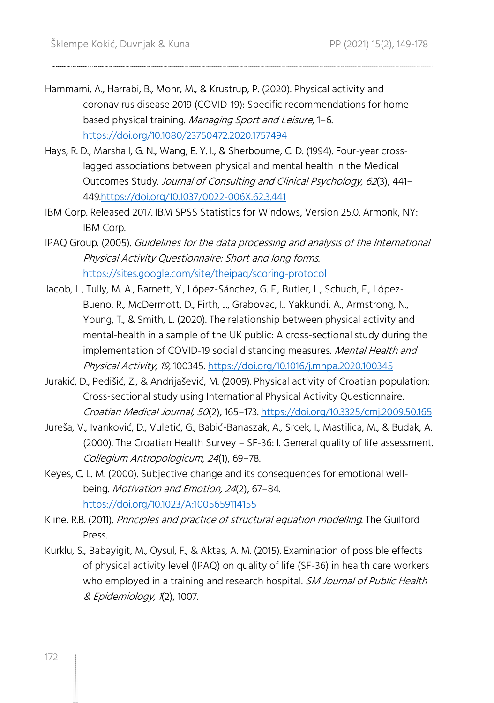- Hammami, A., Harrabi, B., Mohr, M., & Krustrup, P. (2020). Physical activity and coronavirus disease 2019 (COVID-19): Specific recommendations for homebased physical training. Managing Sport and Leisure, 1–6. <https://doi.org/10.1080/23750472.2020.1757494>
- Hays, R. D., Marshall, G. N., Wang, E. Y. I., & Sherbourne, C. D. (1994). Four-year crosslagged associations between physical and mental health in the Medical Outcomes Study. Journal of Consulting and Clinical Psychology, 62(3), 441– 44[9.https://doi.org/10.1037/0022-006X.62.3.441](https://doi.org/10.1037/0022-006X.62.3.441)
- IBM Corp. Released 2017. IBM SPSS Statistics for Windows, Version 25.0. Armonk, NY: IBM Corp.
- IPAQ Group. (2005). Guidelines for the data processing and analysis of the International Physical Activity Questionnaire: Short and long forms. <https://sites.google.com/site/theipaq/scoring-protocol>
- Jacob, L., Tully, M. A., Barnett, Y., López-Sánchez, G. F., Butler, L., Schuch, F., López-Bueno, R., McDermott, D., Firth, J., Grabovac, I., Yakkundi, A., Armstrong, N., Young, T., & Smith, L. (2020). The relationship between physical activity and mental-health in a sample of the UK public: A cross-sectional study during the implementation of COVID-19 social distancing measures. Mental Health and Physical Activity, 19, 100345.<https://doi.org/10.1016/j.mhpa.2020.100345>
- Jurakić, D., Pedišić, Z., & Andrijašević, M. (2009). Physical activity of Croatian population: Cross-sectional study using International Physical Activity Questionnaire. Croatian Medical Journal, 50(2), 165–173[. https://doi.org/10.3325/cmj.2009.50.165](https://doi.org/10.3325/cmj.2009.50.165)
- Jureša, V., Ivanković, D., Vuletić, G., Babić-Banaszak, A., Srcek, I., Mastilica, M., & Budak, A. (2000). The Croatian Health Survey – SF-36: I. General quality of life assessment. Collegium Antropologicum, 24(1), 69–78.
- Keyes, C. L. M. (2000). Subjective change and its consequences for emotional wellbeing. Motivation and Emotion, 24(2), 67–84. <https://doi.org/10.1023/A:1005659114155>
- Kline, R.B. (2011). Principles and practice of structural equation modelling. The Guilford Press.
- Kurklu, S., Babayigit, M., Oysul, F., & Aktas, A. M. (2015). Examination of possible effects of physical activity level (IPAQ) on quality of life (SF-36) in health care workers who employed in a training and research hospital. SM Journal of Public Health & Epidemiology, 1(2), 1007.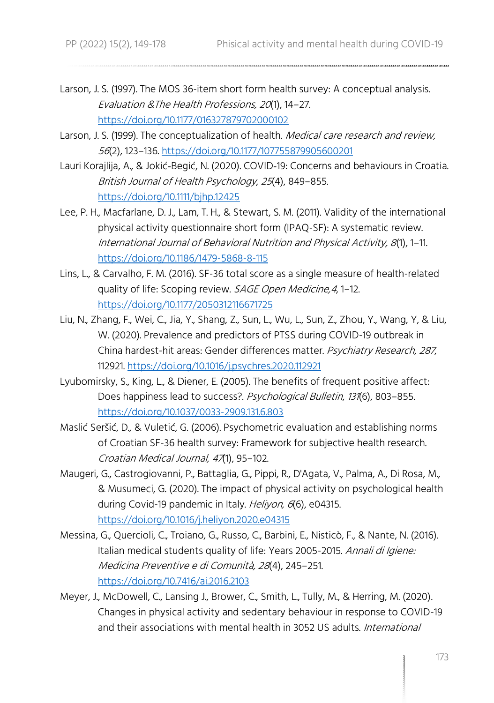- Larson, J. S. (1997). The MOS 36-item short form health survey: A conceptual analysis. Evaluation &The Health Professions, 20(1), 14–27. <https://doi.org/10.1177/016327879702000102>
- Larson, J. S. (1999). The conceptualization of health. Medical care research and review, <sup>56</sup>(2), 123–136.<https://doi.org/10.1177/107755879905600201>
- Lauri Korajlija, A., & Jokić‐Begić, N. (2020). COVID‐19: Concerns and behaviours in Croatia. British Journal of Health Psychology, 25(4), 849–855. <https://doi.org/10.1111/bjhp.12425>
- Lee, P. H., Macfarlane, D. J., Lam, T. H., & Stewart, S. M. (2011). Validity of the international physical activity questionnaire short form (IPAQ-SF): A systematic review. International Journal of Behavioral Nutrition and Physical Activity, 8(1), 1–11. <https://doi.org/10.1186/1479-5868-8-115>
- Lins, L., & Carvalho, F. M. (2016). SF-36 total score as a single measure of health-related quality of life: Scoping review. SAGE Open Medicine, 4, 1-12. <https://doi.org/10.1177/2050312116671725>
- Liu, N., Zhang, F., Wei, C., Jia, Y., Shang, Z., Sun, L., Wu, L., Sun, Z., Zhou, Y., Wang, Y, & Liu, W. (2020). Prevalence and predictors of PTSS during COVID-19 outbreak in China hardest-hit areas: Gender differences matter. Psychiatry Research, 287, 112921[. https://doi.org/10.1016/j.psychres.2020.112921](https://doi.org/10.1016/j.psychres.2020.112921)
- Lyubomirsky, S., King, L., & Diener, E. (2005). The benefits of frequent positive affect: Does happiness lead to success?. Psychological Bulletin, 131(6), 803-855. <https://doi.org/10.1037/0033-2909.131.6.803>
- Maslić Seršić, D., & Vuletić, G. (2006). Psychometric evaluation and establishing norms of Croatian SF-36 health survey: Framework for subjective health research. Croatian Medical Journal, 47(1), 95–102.
- Maugeri, G., Castrogiovanni, P., Battaglia, G., Pippi, R., D'Agata, V., Palma, A., Di Rosa, M., & Musumeci, G. (2020). The impact of physical activity on psychological health during Covid-19 pandemic in Italy. Heliyon, 6(6), e04315. <https://doi.org/10.1016/j.heliyon.2020.e04315>
- Messina, G., Quercioli, C., Troiano, G., Russo, C., Barbini, E., Nisticò, F., & Nante, N. (2016). Italian medical students quality of life: Years 2005-2015. Annali di Igiene: Medicina Preventive e di Comunità, <sup>28</sup>(4), 245–251. <https://doi.org/10.7416/ai.2016.2103>
- Meyer, J., McDowell, C., Lansing J., Brower, C., Smith, L., Tully, M., & Herring, M. (2020). Changes in physical activity and sedentary behaviour in response to COVID-19 and their associations with mental health in 3052 US adults. International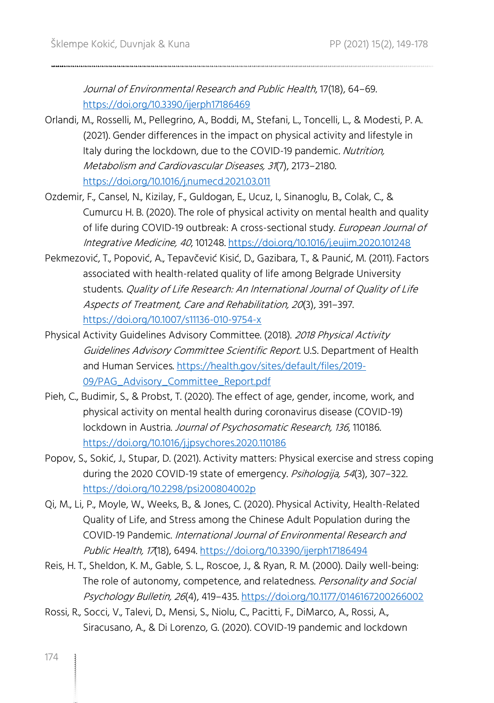Journal of Environmental Research and Public Health, 17(18), 64–69. <https://doi.org/10.3390/ijerph17186469>

- Orlandi, M., Rosselli, M., Pellegrino, A., Boddi, M., Stefani, L., Toncelli, L., & Modesti, P. A. (2021). Gender differences in the impact on physical activity and lifestyle in Italy during the lockdown, due to the COVID-19 pandemic. Nutrition, Metabolism and Cardiovascular Diseases, 31(7), 2173–2180. <https://doi.org/10.1016/j.numecd.2021.03.011>
- Ozdemir, F., Cansel, N., Kizilay, F., Guldogan, E., Ucuz, I., Sinanoglu, B., Colak, C., & Cumurcu H. B. (2020). The role of physical activity on mental health and quality of life during COVID-19 outbreak: A cross-sectional study. European Journal of Integrative Medicine, 40, 101248.<https://doi.org/10.1016/j.eujim.2020.101248>
- Pekmezović, T., Popović, A., Tepavčević Kisić, D., Gazibara, T., & Paunić, M. (2011). Factors associated with health-related quality of life among Belgrade University students. Quality of Life Research: An International Journal of Quality of Life Aspects of Treatment, Care and Rehabilitation, 20(3), 391–397. <https://doi.org/10.1007/s11136-010-9754-x>
- Physical Activity Guidelines Advisory Committee. (2018). 2018 Physical Activity Guidelines Advisory Committee Scientific Report. U.S. Department of Health and Human Services[. https://health.gov/sites/default/files/2019-](https://health.gov/sites/default/files/2019-09/PAG_Advisory_Committee_Report.pdf) [09/PAG\\_Advisory\\_Committee\\_Report.pdf](https://health.gov/sites/default/files/2019-09/PAG_Advisory_Committee_Report.pdf)
- Pieh, C., Budimir, S., & Probst, T. (2020). The effect of age, gender, income, work, and physical activity on mental health during coronavirus disease (COVID-19) lockdown in Austria. Journal of Psychosomatic Research, 136, 110186. <https://doi.org/10.1016/j.jpsychores.2020.110186>
- Popov, S., Sokić, J., Stupar, D. (2021). Activity matters: Physical exercise and stress coping during the 2020 COVID-19 state of emergency. Psihologija, 54(3), 307-322. <https://doi.org/10.2298/psi200804002p>
- Qi, M., Li, P., Moyle, W., Weeks, B., & Jones, C. (2020). Physical Activity, Health-Related Quality of Life, and Stress among the Chinese Adult Population during the COVID-19 Pandemic. International Journal of Environmental Research and Public Health, 17(18), 6494[. https://doi.org/10.3390/ijerph17186494](https://doi.org/10.3390/ijerph17186494)
- Reis, H. T., Sheldon, K. M., Gable, S. L., Roscoe, J., & Ryan, R. M. (2000). Daily well-being: The role of autonomy, competence, and relatedness. Personality and Social Psychology Bulletin, 26(4), 419–435[. https://doi.org/10.1177/0146167200266002](https://doi.org/10.1177/0146167200266002)
- Rossi, R., Socci, V., Talevi, D., Mensi, S., Niolu, C., Pacitti, F., DiMarco, A., Rossi, A., Siracusano, A., & Di Lorenzo, G. (2020). COVID-19 pandemic and lockdown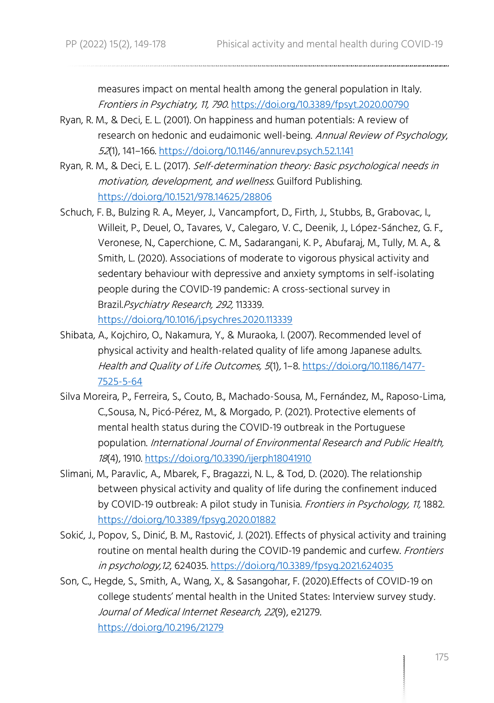measures impact on mental health among the general population in Italy. Frontiers in Psychiatry, 11, 790. <https://doi.org/10.3389/fpsyt.2020.00790>

- Ryan, R. M., & Deci, E. L. (2001). On happiness and human potentials: A review of research on hedonic and eudaimonic well-being. Annual Review of Psychology, <sup>52</sup>(1), 141–166[. https://doi.org/10.1146/annurev.psych.52.1.141](https://doi.org/10.1146/annurev.psych.52.1.141)
- Ryan, R. M., & Deci, E. L. (2017). Self-determination theory: Basic psychological needs in motivation, development, and wellness. Guilford Publishing. <https://doi.org/10.1521/978.14625/28806>
- Schuch, F. B., Bulzing R. A., Meyer, J., Vancampfort, D., Firth, J., Stubbs, B., Grabovac, I., Willeit, P., Deuel, O., Tavares, V., Calegaro, V. C., Deenik, J., López-Sánchez, G. F., Veronese, N., Caperchione, C. M., Sadarangani, K. P., Abufaraj, M., Tully, M. A., & Smith, L. (2020). Associations of moderate to vigorous physical activity and sedentary behaviour with depressive and anxiety symptoms in self-isolating people during the COVID-19 pandemic: A cross-sectional survey in Brazil.Psychiatry Research, 292, 113339.

<https://doi.org/10.1016/j.psychres.2020.113339>

- Shibata, A., Kojchiro, O., Nakamura, Y., & Muraoka, I. (2007). Recommended level of physical activity and health-related quality of life among Japanese adults. Health and Quality of Life Outcomes, 5(1), 1–8[. https://doi.org/10.1186/1477-](https://doi.org/10.1186/1477-7525-5-64) [7525-5-64](https://doi.org/10.1186/1477-7525-5-64)
- Silva Moreira, P., Ferreira, S., Couto, B., Machado-Sousa, M., Fernández, M., Raposo-Lima, C.,Sousa, N., Picó-Pérez, M., & Morgado, P. (2021). Protective elements of mental health status during the COVID-19 outbreak in the Portuguese population. International Journal of Environmental Research and Public Health, <sup>18</sup>(4), 1910.<https://doi.org/10.3390/ijerph18041910>
- Slimani, M., Paravlic, A., Mbarek, F., Bragazzi, N. L., & Tod, D. (2020). The relationship between physical activity and quality of life during the confinement induced by COVID-19 outbreak: A pilot study in Tunisia. Frontiers in Psychology, 11, 1882. <https://doi.org/10.3389/fpsyg.2020.01882>
- Sokić, J., Popov, S., Dinić, B. M., Rastović, J. (2021). Effects of physical activity and training routine on mental health during the COVID-19 pandemic and curfew. Frontiers in psychology,12, 624035.<https://doi.org/10.3389/fpsyg.2021.624035>
- Son, C., Hegde, S., Smith, A., Wang, X., & Sasangohar, F. (2020).Effects of COVID-19 on college students' mental health in the United States: Interview survey study. Journal of Medical Internet Research, 22(9), e21279. <https://doi.org/10.2196/21279>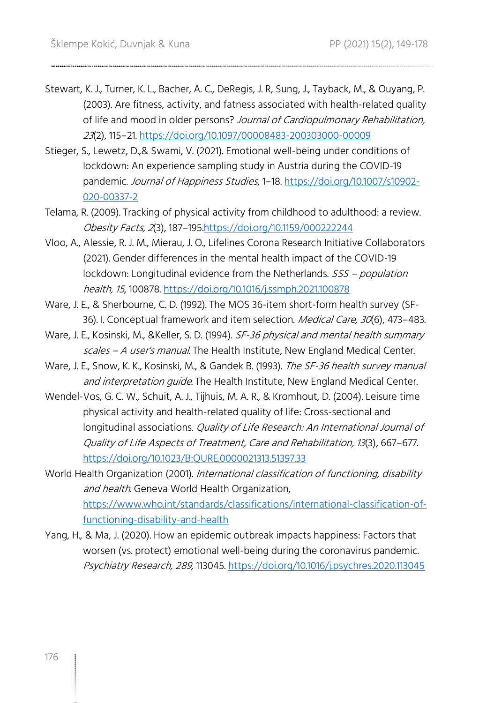- Stewart, K. J., Turner, K. L., Bacher, A. C., DeRegis, J. R, Sung, J., Tayback, M., & Ouyang, P. (2003). Are fitness, activity, and fatness associated with health-related quality of life and mood in older persons? Journal of Cardiopulmonary Rehabilitation, <sup>23</sup>(2), 115–21.<https://doi.org/10.1097/00008483-200303000-00009>
- Stieger, S., Lewetz, D.,& Swami, V. (2021). Emotional well-being under conditions of lockdown: An experience sampling study in Austria during the COVID-19 pandemic. Journal of Happiness Studies, 1-18[. https://doi.org/10.1007/s10902-](https://doi.org/10.1007/s10902-020-00337-2) [020-00337-2](https://doi.org/10.1007/s10902-020-00337-2)
- Telama, R. (2009). Tracking of physical activity from childhood to adulthood: a review. Obesity Facts, 2(3), 187–19[5.https://doi.org/10.1159/000222244](https://doi.org/10.1159/000222244)
- Vloo, A., Alessie, R. J. M., Mierau, J. O., Lifelines Corona Research Initiative Collaborators (2021). Gender differences in the mental health impact of the COVID-19 lockdown: Longitudinal evidence from the Netherlands. SSS - population health, 15, 100878.<https://doi.org/10.1016/j.ssmph.2021.100878>
- Ware, J. E., & Sherbourne, C. D. (1992). The MOS 36-item short-form health survey (SF-36). I. Conceptual framework and item selection. Medical Care, 30(6), 473-483.
- Ware, J. E., Kosinski, M., &Keller, S. D. (1994). SF-36 physical and mental health summary scales - A user's manual. The Health Institute, New England Medical Center.
- Ware, J. E., Snow, K. K., Kosinski, M., & Gandek B. (1993). The SF-36 health survey manual and interpretation quide. The Health Institute, New England Medical Center.
- Wendel-Vos, G. C. W., Schuit, A. J., Tijhuis, M. A. R., & Kromhout, D. (2004). Leisure time physical activity and health-related quality of life: Cross-sectional and longitudinal associations. Quality of Life Research: An International Journal of Quality of Life Aspects of Treatment, Care and Rehabilitation, 13(3), 667–677. <https://doi.org/10.1023/B:QURE.0000021313.51397.33>
- World Health Organization (2001). International classification of functioning, disability and health. Geneva World Health Organization, [https://www.who.int/standards/classifications/international-classification-of](https://www.who.int/standards/classifications/international-classification-of-functioning-disability-and-health)[functioning-disability-and-health](https://www.who.int/standards/classifications/international-classification-of-functioning-disability-and-health)
- Yang, H., & Ma, J. (2020). How an epidemic outbreak impacts happiness: Factors that worsen (vs. protect) emotional well-being during the coronavirus pandemic. Psychiatry Research, 289, 113045.<https://doi.org/10.1016/j.psychres.2020.113045>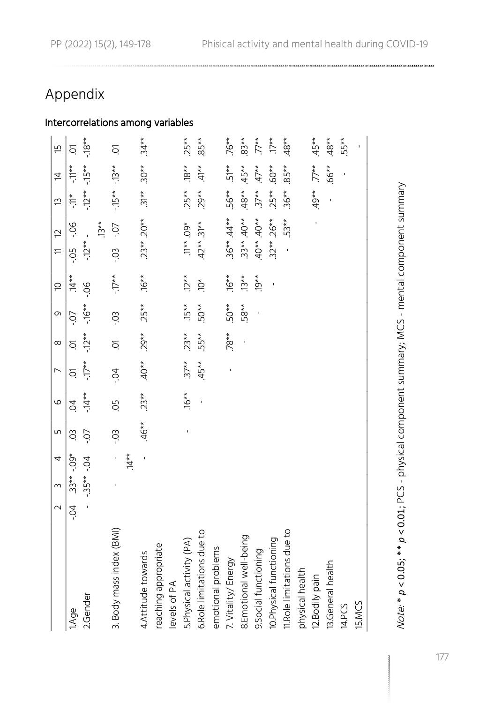### Appendix

## Intercorrelations among variables

|                            | $\sim$ | 3           | 4       | Ь٥             | 9              | $\overline{ }$ | $\infty$ | 0                                | $\supseteq$      | $11 \t2$      |         | 13               | 与                     | Έ               |
|----------------------------|--------|-------------|---------|----------------|----------------|----------------|----------|----------------------------------|------------------|---------------|---------|------------------|-----------------------|-----------------|
| 1.Age                      | $-5$   | $33**.09*$  |         | C <sub>O</sub> | $\overline{6}$ | δ.             | δ.       | $-0 -$                           | $14**$           | $-5$          | 90.     | $\sum_{i=1}^{k}$ | $-11**$               | ā               |
| 2.Gender                   |        | $-35***-04$ |         | -.07           | $-14**$        |                |          | $-17***$ $-12***$ $-16***$ $-06$ |                  | $-12** -$     |         |                  | $-12*** -15*** -18**$ |                 |
|                            |        |             |         |                |                |                |          |                                  |                  |               | $13**$  |                  |                       |                 |
| 3. Body mass index (BMI)   |        |             | $.14**$ | -03            | Q.             | $-0.7$         | ā        | -03                              | $-17**$          | $-0.5$        | $-0.7$  | $-15** -13**$    |                       | δ.              |
| 4. Attitude towards        |        |             |         | $.46**$        | $.23**$        | $40**$         | $.29**$  | $25**$                           | $.16**$          | $23** 20**$   |         | $.31***$ .30**   |                       | $.34**$         |
| reaching appropriate       |        |             |         |                |                |                |          |                                  |                  |               |         |                  |                       |                 |
| levels of PA               |        |             |         |                |                |                |          |                                  |                  |               |         |                  |                       |                 |
| 5. Physical activity (PA)  |        |             |         |                | $.16**$        | $37**$         | $.23**$  | $.15**$                          | $12**$           | $.11**.09*$   |         | $25**$           | $.18**$               | $25**$          |
| 6.Role limitations due to  |        |             |         |                |                | $.45**$        | 55**     | $-50**$                          | $\sum_{i=1}^{k}$ | $.42**$ .31** |         | $.29**$          | $.41**$               | $85**$          |
| emotional problems         |        |             |         |                |                |                |          |                                  |                  |               |         |                  |                       |                 |
| 7. Vitality/Energy         |        |             |         |                |                |                | $78**$   | 50**                             | $16**$           | $.36**.44**$  |         | 56**             | $51**$                | $76**$          |
| 8.Emotional well-being     |        |             |         |                |                |                |          | $-58**$                          | $13**$           | $.33**.40**$  |         | $.48**$          | $.45**$               | $83**$          |
| 9.Social functioning       |        |             |         |                |                |                |          |                                  | $19**$           | $40**.40**$   |         | $37**$           | $47**$                | $\ddot{\tau}^*$ |
| 10. Physical functioning   |        |             |         |                |                |                |          |                                  |                  | $.32** .26**$ |         | $25**$           | .60**                 | $17**$          |
| 11.Role limitations due to |        |             |         |                |                |                |          |                                  |                  |               | $-53**$ | $.36**$          | $.85**$               | $48**$          |
| physical health            |        |             |         |                |                |                |          |                                  |                  |               |         |                  |                       |                 |
| 12.Bodily pain             |        |             |         |                |                |                |          |                                  |                  |               |         | $49**$           | $77**$                | $.45**$         |
| 13.General health          |        |             |         |                |                |                |          |                                  |                  |               |         |                  | .66**                 | $.48**$         |
| 14.PCS                     |        |             |         |                |                |                |          |                                  |                  |               |         |                  |                       | $55**$          |
| 15.MCS                     |        |             |         |                |                |                |          |                                  |                  |               |         |                  |                       |                 |
|                            |        |             |         |                |                |                |          |                                  |                  |               |         |                  |                       |                 |

Note: \* p < 0.05; \*\* p < 0.01; PCS - physical component summary; MCS - mental component summary Note: \* *p* < 0.05; \*\* *p* < 0.01; PCS - physical component summary; MCS - mental component summary